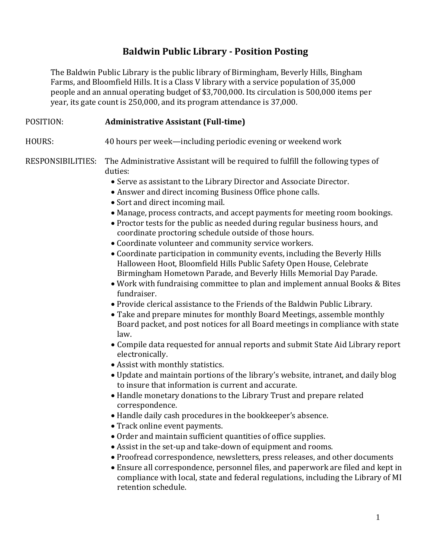## **Baldwin Public Library - Position Posting**

The Baldwin Public Library is the public library of Birmingham, Beverly Hills, Bingham Farms, and Bloomfield Hills. It is a Class V library with a service population of 35,000 people and an annual operating budget of \$3,700,000. Its circulation is 500,000 items per year, its gate count is 250,000, and its program attendance is 37,000.

## POSITION: **Administrative Assistant (Full-time)**

HOURS: 40 hours per week—including periodic evening or weekend work

RESPONSIBILITIES: The Administrative Assistant will be required to fulfill the following types of duties:

- Serve as assistant to the Library Director and Associate Director.
- Answer and direct incoming Business Office phone calls.
- Sort and direct incoming mail.
- Manage, process contracts, and accept payments for meeting room bookings.
- Proctor tests for the public as needed during regular business hours, and coordinate proctoring schedule outside of those hours.
- Coordinate volunteer and community service workers.
- Coordinate participation in community events, including the Beverly Hills Halloween Hoot, Bloomfield Hills Public Safety Open House, Celebrate Birmingham Hometown Parade, and Beverly Hills Memorial Day Parade.
- Work with fundraising committee to plan and implement annual Books & Bites fundraiser.
- Provide clerical assistance to the Friends of the Baldwin Public Library.
- Take and prepare minutes for monthly Board Meetings, assemble monthly Board packet, and post notices for all Board meetings in compliance with state law.
- Compile data requested for annual reports and submit State Aid Library report electronically.
- Assist with monthly statistics.
- Update and maintain portions of the library's website, intranet, and daily blog to insure that information is current and accurate.
- Handle monetary donations to the Library Trust and prepare related correspondence.
- Handle daily cash procedures in the bookkeeper's absence.
- Track online event payments.
- Order and maintain sufficient quantities of office supplies.
- Assist in the set-up and take-down of equipment and rooms.
- Proofread correspondence, newsletters, press releases, and other documents
- Ensure all correspondence, personnel files, and paperwork are filed and kept in compliance with local, state and federal regulations, including the Library of MI retention schedule.